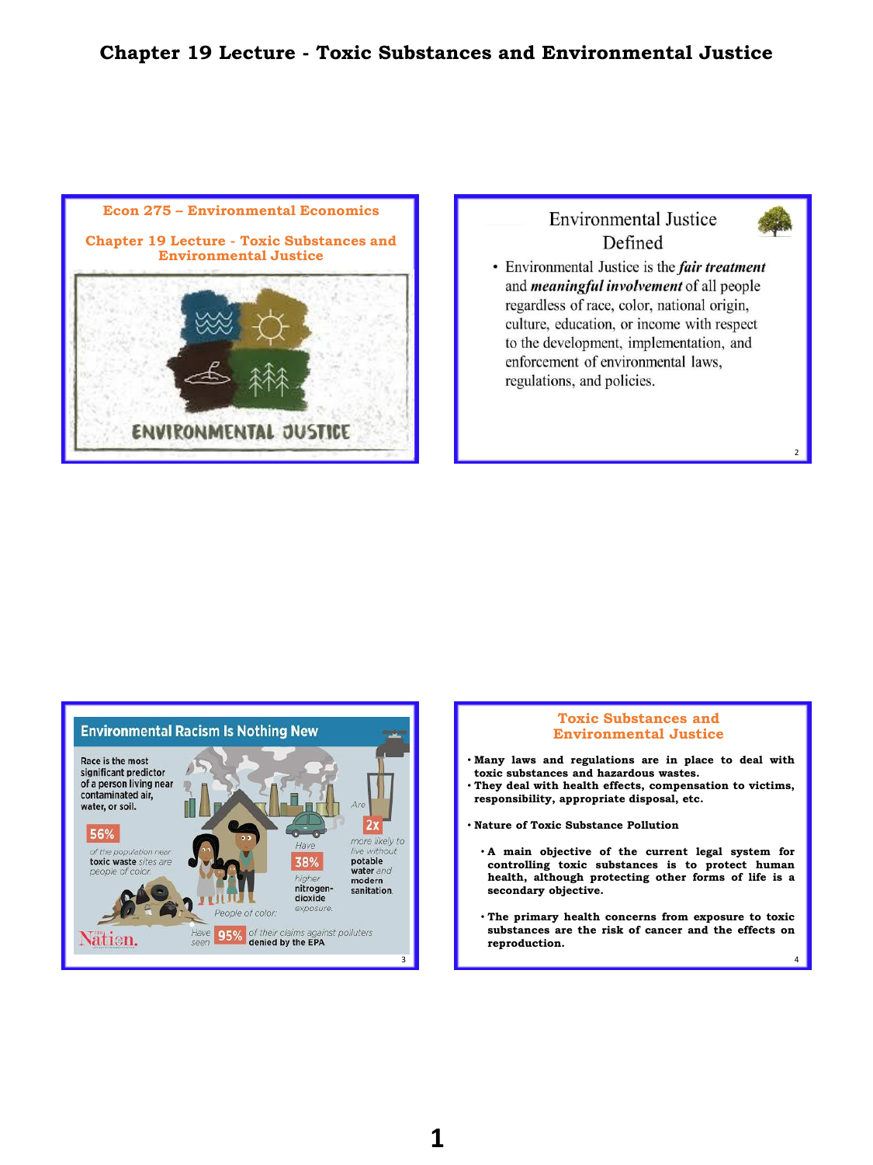# **Chapter 19 Lecture - Toxic Substances and Environmental Justice**



# **Environmental Justice** Defined



 $\overline{2}$ 

• Environmental Justice is the *fair treatment* and *meaningful involvement* of all people regardless of race, color, national origin, culture, education, or income with respect to the development, implementation, and enforcement of environmental laws, regulations, and policies.



### **Toxic Substances and Environmental Justice**

- **Many laws and regulations are in place to deal with toxic substances and hazardous wastes.**
- **They deal with health effects, compensation to victims, responsibility, appropriate disposal, etc.**
- **Nature of Toxic Substance Pollution**
	- **A main objective of the current legal system for controlling toxic substances is to protect human health, although protecting other forms of life is a secondary objective.**
	- **The primary health concerns from exposure to toxic substances are the risk of cancer and the effects on reproduction.**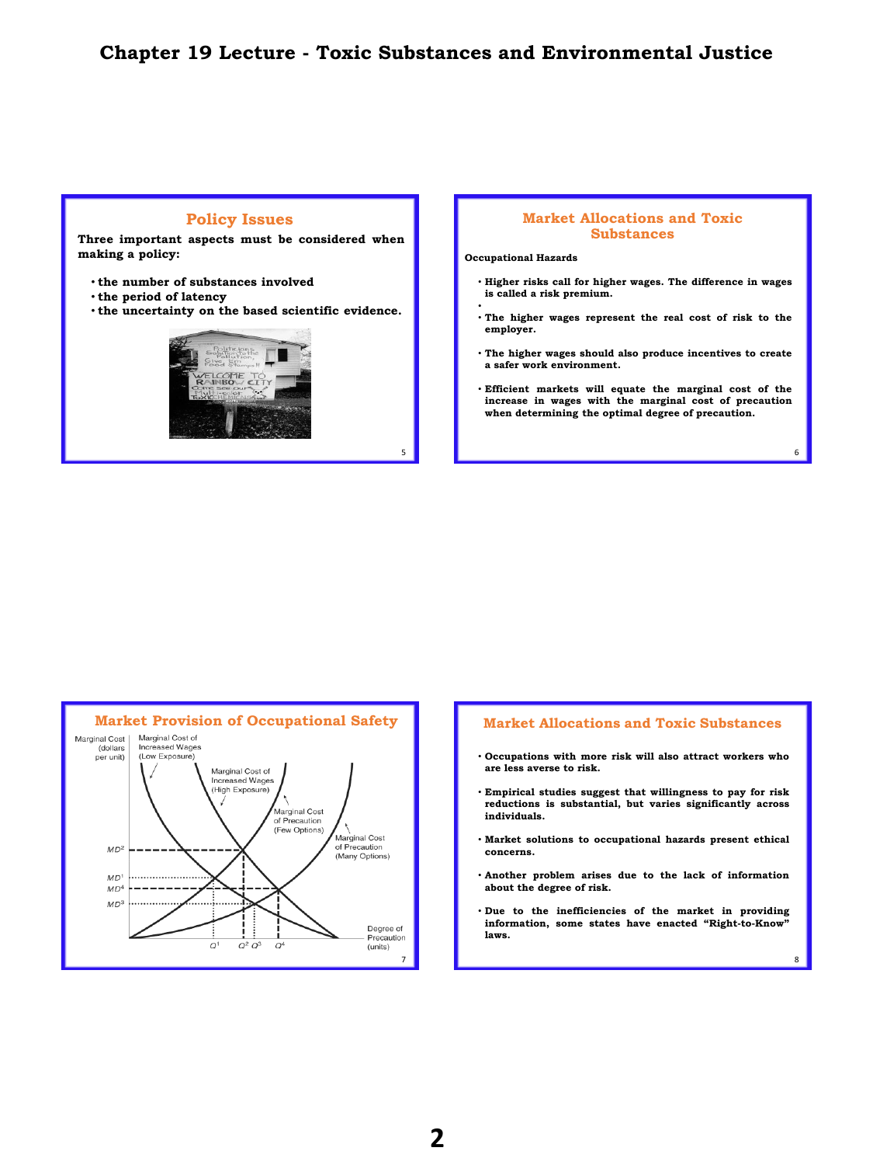## **Chapter 19 Lecture - Toxic Substances and Environmental Justice**

5

### **Policy Issues**

**Three important aspects must be considered when making a policy:**

- **the number of substances involved**
- **the period of latency**
- **the uncertainty on the based scientific evidence.**



#### **Market Allocations and Toxic Substances**

**Occupational Hazards**

•

- **Higher risks call for higher wages. The difference in wages is called a risk premium.**
- **The higher wages represent the real cost of risk to the employer.**
- **The higher wages should also produce incentives to create a safer work environment.**
- **Efficient markets will equate the marginal cost of the increase in wages with the marginal cost of precaution when determining the optimal degree of precaution.**

6

8



#### **Market Allocations and Toxic Substances**

- **Occupations with more risk will also attract workers who are less averse to risk.**
- **Empirical studies suggest that willingness to pay for risk reductions is substantial, but varies significantly across individuals.**
- **Market solutions to occupational hazards present ethical concerns.**
- **Another problem arises due to the lack of information about the degree of risk.**
- **Due to the inefficiencies of the market in providing information, some states have enacted "Right-to-Know" laws.**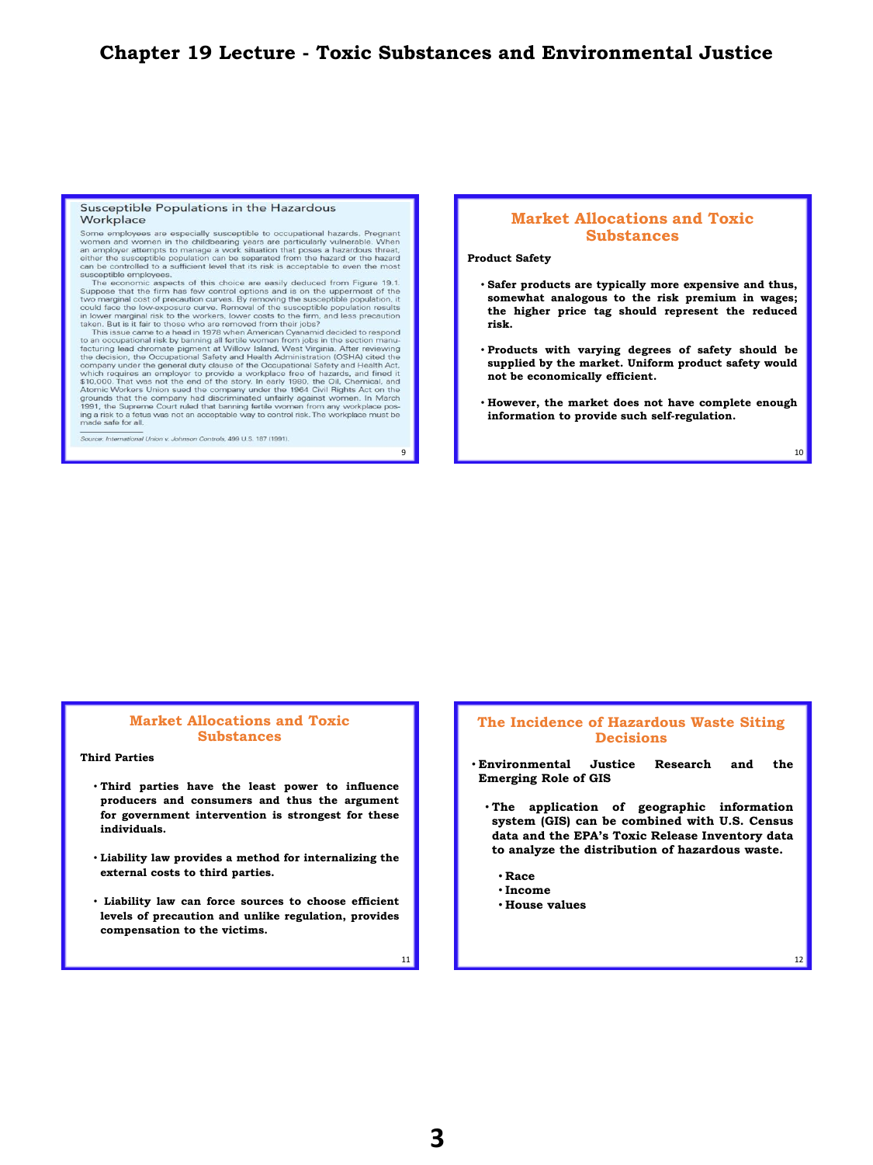#### Susceptible Populations in the Hazardous Workplace

Some employees are especially susceptible to occupational hazards. Pregnant women and women in the childbearing years are particularly vulnerable. When a an employer attempts to manage a work situation that poses a hazardo eptible employees SILS

can be controlled to a sufficient level that its risk is acceptable to even the most susceptible employees. This economic aspects of this choice are easily deduced from Figure 19.1. Suppose that the firm has few control op

Source: International Union v. Johnson Controls, 499 U.S. 187 (1991).

### **Market Allocations and Toxic Substances**

**Product Safety**

- **Safer products are typically more expensive and thus, somewhat analogous to the risk premium in wages; the higher price tag should represent the reduced risk.**
- **Products with varying degrees of safety should be supplied by the market. Uniform product safety would not be economically efficient.**
- **However, the market does not have complete enough information to provide such self-regulation.**

9 10

## **Market Allocations and Toxic Substances**

#### **Third Parties**

- **Third parties have the least power to influence producers and consumers and thus the argument for government intervention is strongest for these individuals.**
- **Liability law provides a method for internalizing the external costs to third parties.**
- **Liability law can force sources to choose efficient levels of precaution and unlike regulation, provides compensation to the victims.**

### **The Incidence of Hazardous Waste Siting Decisions**

- **Environmental Justice Research and the Emerging Role of GIS**
	- **The application of geographic information system (GIS) can be combined with U.S. Census data and the EPA's Toxic Release Inventory data to analyze the distribution of hazardous waste.**
		- **Race**
		- **Income**
		- **House values**

12

11